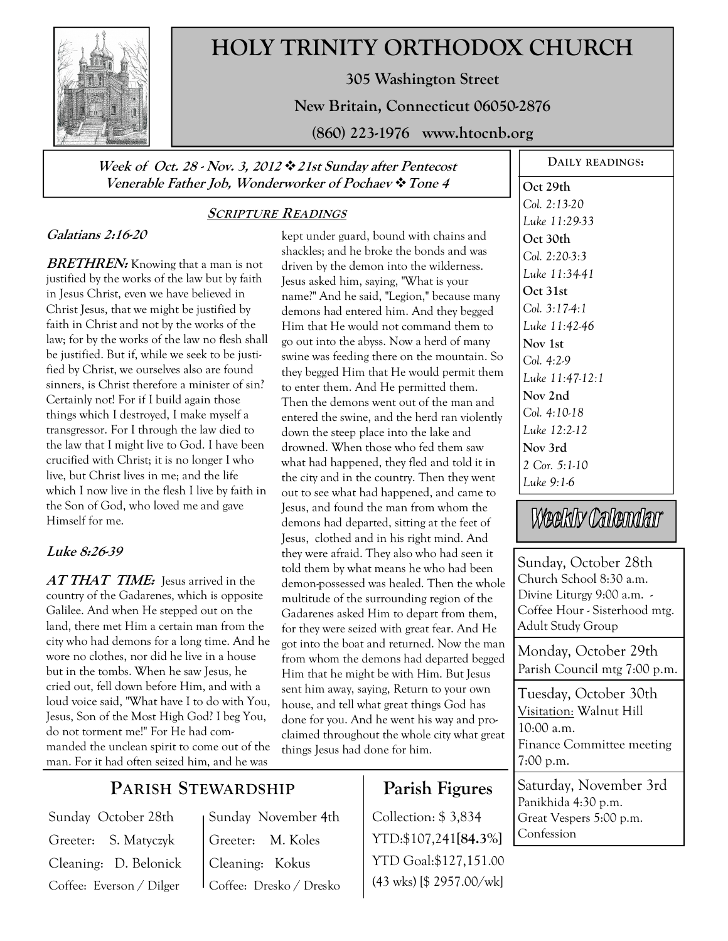

# **HOLY TRINITY ORTHODOX CHURCH**

**305 Washington Street** 

**New Britain, Connecticut 06050-2876** 

**(860) 223-1976 www.htocnb.org** 

#### **Week of Oct. 28 - Nov. 3, 2012 21st Sunday after Pentecost Venerable Father Job, Wonderworker of Pochaev Tone 4**

## **Galatians 2:16-20**

**BRETHREN:** Knowing that a man is not justified by the works of the law but by faith in Jesus Christ, even we have believed in Christ Jesus, that we might be justified by faith in Christ and not by the works of the law; for by the works of the law no flesh shall be justified. But if, while we seek to be justified by Christ, we ourselves also are found sinners, is Christ therefore a minister of sin? Certainly not! For if I build again those things which I destroyed, I make myself a transgressor. For I through the law died to the law that I might live to God. I have been crucified with Christ; it is no longer I who live, but Christ lives in me; and the life which I now live in the flesh I live by faith in the Son of God, who loved me and gave Himself for me.

### **Luke 8:26-39**

AT THAT TIME: lesus arrived in the country of the Gadarenes, which is opposite Galilee. And when He stepped out on the land, there met Him a certain man from the city who had demons for a long time. And he wore no clothes, nor did he live in a house but in the tombs. When he saw Jesus, he cried out, fell down before Him, and with a loud voice said, "What have I to do with You, Jesus, Son of the Most High God? I beg You, do not torment me!" For He had commanded the unclean spirit to come out of the man. For it had often seized him, and he was

## **SCRIPTURE READINGS**

kept under guard, bound with chains and shackles; and he broke the bonds and was driven by the demon into the wilderness. Jesus asked him, saying, "What is your name?" And he said, "Legion," because many demons had entered him. And they begged Him that He would not command them to go out into the abyss. Now a herd of many swine was feeding there on the mountain. So they begged Him that He would permit them to enter them. And He permitted them. Then the demons went out of the man and entered the swine, and the herd ran violently down the steep place into the lake and drowned. When those who fed them saw what had happened, they fled and told it in the city and in the country. Then they went out to see what had happened, and came to Jesus, and found the man from whom the demons had departed, sitting at the feet of Jesus, clothed and in his right mind. And they were afraid. They also who had seen it told them by what means he who had been demon-possessed was healed. Then the whole multitude of the surrounding region of the Gadarenes asked Him to depart from them, for they were seized with great fear. And He got into the boat and returned. Now the man from whom the demons had departed begged Him that he might be with Him. But Jesus sent him away, saying, Return to your own house, and tell what great things God has done for you. And he went his way and proclaimed throughout the whole city what great things Jesus had done for him.

# **Parish Figures**

Collection: \$ 3,834 YTD:\$107,241**[84.3%]** YTD Goal:\$127,151.00 (43 wks) [\$ 2957.00/wk]

**DAILY READINGS: Oct 29th**  *Col. 2:13-20 Luke 11:29-33*  **Oct 30th**  *Col. 2:20-3:3 Luke 11:34-41*  **Oct 31st**  *Col. 3:17-4:1 Luke 11:42-46*  **Nov 1st**  *Col. 4:2-9 Luke 11:47-12:1*  **Nov 2nd**  *Col. 4:10-18 Luke 12:2-12*  **Nov 3rd**  *2 Cor. 5:1-10 Luke 9:1-6* 

# Weekly Calendar

Sunday, October 28th Church School 8:30 a.m. Divine Liturgy 9:00 a.m. - Coffee Hour - Sisterhood mtg. Adult Study Group

Monday, October 29th Parish Council mtg 7:00 p.m.

Saturday, November 3rd Panikhida 4:30 p.m. Tuesday, October 30th Visitation: Walnut Hill 10:00 a.m. Finance Committee meeting 7:00 p.m.

Great Vespers 5:00 p.m. Confession

# **PARISH STEWARDSHIP**

Sunday October 28th Greeter: S. Matyczyk Cleaning: D. Belonick Coffee: Everson / Dilger

Sunday November 4th Greeter: M. Koles Cleaning: Kokus Coffee: Dresko / Dresko